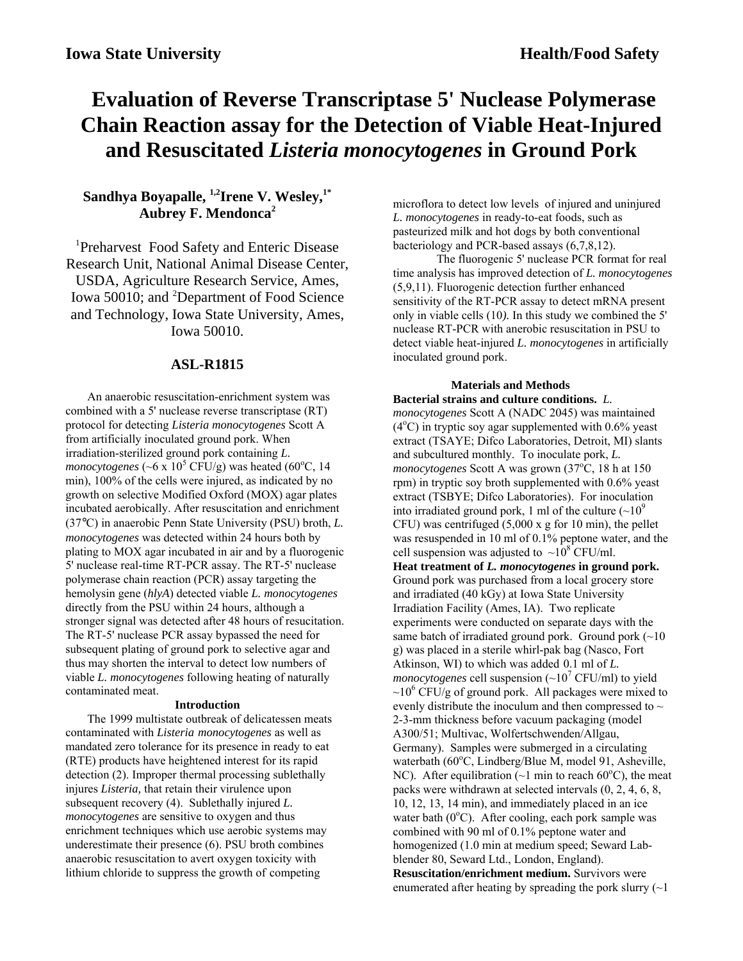# **Evaluation of Reverse Transcriptase 5' Nuclease Polymerase Chain Reaction assay for the Detection of Viable Heat-Injured and Resuscitated** *Listeria monocytogenes* **in Ground Pork**

# Sandhya Boyapalle, <sup>1,2</sup>Irene V. Wesley,<sup>1\*</sup> **Aubrey F. Mendonca2**

<sup>1</sup>Preharvest Food Safety and Enteric Disease Research Unit, National Animal Disease Center, USDA, Agriculture Research Service, Ames, Iowa 50010; and <sup>2</sup>Department of Food Science and Technology, Iowa State University, Ames, Iowa 50010.

## **ASL-R1815**

An anaerobic resuscitation-enrichment system was combined with a 5' nuclease reverse transcriptase (RT) protocol for detecting *Listeria monocytogenes* Scott A from artificially inoculated ground pork. When irradiation-sterilized ground pork containing *L. monocytogenes* (~6 x  $10^5$  CFU/g) was heated (60<sup>o</sup>C, 14 min), 100% of the cells were injured, as indicated by no growth on selective Modified Oxford (MOX) agar plates incubated aerobically. After resuscitation and enrichment (37°C) in anaerobic Penn State University (PSU) broth, *L. monocytogenes* was detected within 24 hours both by plating to MOX agar incubated in air and by a fluorogenic 5' nuclease real-time RT-PCR assay. The RT-5' nuclease polymerase chain reaction (PCR) assay targeting the hemolysin gene (*hlyA*) detected viable *L. monocytogenes* directly from the PSU within 24 hours, although a stronger signal was detected after 48 hours of resucitation. The RT-5' nuclease PCR assay bypassed the need for subsequent plating of ground pork to selective agar and thus may shorten the interval to detect low numbers of viable *L. monocytogenes* following heating of naturally contaminated meat.

## **Introduction**

The 1999 multistate outbreak of delicatessen meats contaminated with *Listeria monocytogenes* as well as mandated zero tolerance for its presence in ready to eat (RTE) products have heightened interest for its rapid detection (2). Improper thermal processing sublethally injures *Listeria,* that retain their virulence upon subsequent recovery (4).Sublethally injured *L. monocytogenes* are sensitive to oxygen and thus enrichment techniques which use aerobic systems may underestimate their presence (6). PSU broth combines anaerobic resuscitation to avert oxygen toxicity with lithium chloride to suppress the growth of competing

microflora to detect low levels of injured and uninjured *L. monocytogenes* in ready-to-eat foods, such as pasteurized milk and hot dogs by both conventional bacteriology and PCR-based assays (6,7,8,12).

The fluorogenic 5' nuclease PCR format for real time analysis has improved detection of *L. monocytogenes* (5,9,11). Fluorogenic detection further enhanced sensitivity of the RT-PCR assay to detect mRNA present only in viable cells (10*).* In this study we combined the 5' nuclease RT-PCR with anerobic resuscitation in PSU to detect viable heat-injured *L. monocytogenes* in artificially inoculated ground pork.

#### **Materials and Methods**

**Bacterial strains and culture conditions.** *L. monocytogenes* Scott A (NADC 2045) was maintained  $(4^{\circ}$ C) in tryptic soy agar supplemented with 0.6% yeast extract (TSAYE; Difco Laboratories, Detroit, MI) slants and subcultured monthly. To inoculate pork, *L.* monocytogenes Scott A was grown (37<sup>o</sup>C, 18 h at 150 rpm) in tryptic soy broth supplemented with 0.6% yeast extract (TSBYE; Difco Laboratories). For inoculation into irradiated ground pork, 1 ml of the culture  $({\sim}10^9$ CFU) was centrifuged  $(5,000 \times g)$  for 10 min), the pellet was resuspended in 10 ml of 0.1% peptone water, and the cell suspension was adjusted to  $\sim 10^8$  CFU/ml. **Heat treatment of** *L. monocytogenes* **in ground pork.** Ground pork was purchased from a local grocery store and irradiated (40 kGy) at Iowa State University Irradiation Facility (Ames, IA). Two replicate experiments were conducted on separate days with the same batch of irradiated ground pork. Ground pork  $(\sim 10$ g) was placed in a sterile whirl-pak bag (Nasco, Fort Atkinson, WI) to which was added 0.1 ml of *L. monocytogenes* cell suspension  $(\sim]10^7$  CFU/ml) to yield  $\sim$ 10<sup>6</sup> CFU/g of ground pork. All packages were mixed to evenly distribute the inoculum and then compressed to  $\sim$ 2-3-mm thickness before vacuum packaging (model A300/51; Multivac, Wolfertschwenden/Allgau, Germany). Samples were submerged in a circulating waterbath (60°C, Lindberg/Blue M, model 91, Asheville, NC). After equilibration ( $\sim$ 1 min to reach 60°C), the meat packs were withdrawn at selected intervals (0, 2, 4, 6, 8, 10, 12, 13, 14 min), and immediately placed in an ice water bath  $(0^{\circ}C)$ . After cooling, each pork sample was combined with 90 ml of 0.1% peptone water and homogenized (1.0 min at medium speed; Seward Labblender 80, Seward Ltd., London, England). **Resuscitation/enrichment medium.** Survivors were enumerated after heating by spreading the pork slurry  $(\sim]$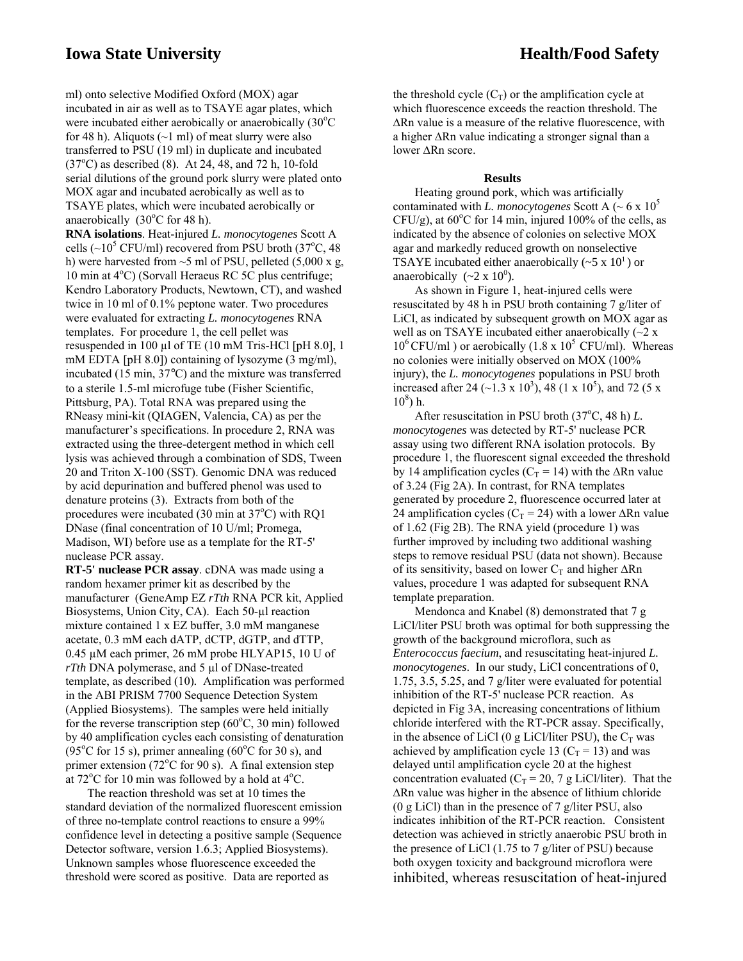ml) onto selective Modified Oxford (MOX) agar incubated in air as well as to TSAYE agar plates, which were incubated either aerobically or anaerobically (30°C for 48 h). Aliquots  $(\sim 1 \text{ ml})$  of meat slurry were also transferred to PSU (19 ml) in duplicate and incubated  $(37^{\circ}$ C) as described  $(8)$ . At 24, 48, and 72 h, 10-fold serial dilutions of the ground pork slurry were plated onto MOX agar and incubated aerobically as well as to TSAYE plates, which were incubated aerobically or anaerobically  $(30^{\circ}$ C for 48 h).

**RNA isolations**. Heat-injured *L. monocytogenes* Scott A cells  $(\sim 10^5 \text{ CFU/ml})$  recovered from PSU broth  $(37^{\circ}C, 48)$ h) were harvested from  $\sim$ 5 ml of PSU, pelleted (5,000 x g, 10 min at 4°C) (Sorvall Heraeus RC 5C plus centrifuge; Kendro Laboratory Products, Newtown, CT), and washed twice in 10 ml of 0.1% peptone water. Two procedures were evaluated for extracting *L. monocytogenes* RNA templates. For procedure 1, the cell pellet was resuspended in 100 µl of TE (10 mM Tris-HCl [pH 8.0], 1 mM EDTA [pH 8.0]) containing of lysozyme (3 mg/ml), incubated (15 min, 37°C) and the mixture was transferred to a sterile 1.5-ml microfuge tube (Fisher Scientific, Pittsburg, PA). Total RNA was prepared using the RNeasy mini-kit (QIAGEN, Valencia, CA) as per the manufacturer's specifications. In procedure 2, RNA was extracted using the three-detergent method in which cell lysis was achieved through a combination of SDS, Tween 20 and Triton X-100 (SST). Genomic DNA was reduced by acid depurination and buffered phenol was used to denature proteins (3). Extracts from both of the procedures were incubated (30 min at  $37^{\circ}$ C) with RQ1 DNase (final concentration of 10 U/ml; Promega, Madison, WI) before use as a template for the RT-5' nuclease PCR assay.

**RT-5' nuclease PCR assay**. cDNA was made using a random hexamer primer kit as described by the manufacturer (GeneAmp EZ *rTth* RNA PCR kit, Applied Biosystems, Union City, CA). Each 50-µl reaction mixture contained 1 x EZ buffer, 3.0 mM manganese acetate, 0.3 mM each dATP, dCTP, dGTP, and dTTP, 0.45 µM each primer, 26 mM probe HLYAP15, 10 U of *rTth* DNA polymerase, and 5 µl of DNase-treated template, as described (10)*.* Amplification was performed in the ABI PRISM 7700 Sequence Detection System (Applied Biosystems). The samples were held initially for the reverse transcription step  $(60^{\circ}C, 30 \text{ min})$  followed by 40 amplification cycles each consisting of denaturation  $(95^{\circ}$ C for 15 s), primer annealing  $(60^{\circ}$ C for 30 s), and primer extension (72°C for 90 s). A final extension step at  $72^{\circ}$ C for 10 min was followed by a hold at  $4^{\circ}$ C.

The reaction threshold was set at 10 times the standard deviation of the normalized fluorescent emission of three no-template control reactions to ensure a 99% confidence level in detecting a positive sample (Sequence Detector software, version 1.6.3; Applied Biosystems). Unknown samples whose fluorescence exceeded the threshold were scored as positive. Data are reported as

the threshold cycle  $(C_T)$  or the amplification cycle at which fluorescence exceeds the reaction threshold. The ∆Rn value is a measure of the relative fluorescence, with a higher ∆Rn value indicating a stronger signal than a lower ∆Rn score.

## **Results**

Heating ground pork, which was artificially contaminated with *L. monocytogenes* Scott A ( $\sim$  6 x 10<sup>5</sup>)  $CFU/g$ ), at  $60^{\circ}$ C for 14 min, injured 100% of the cells, as indicated by the absence of colonies on selective MOX agar and markedly reduced growth on nonselective TSAYE incubated either anaerobically  $(\sim 5 \times 10^{1})$  or anaerobically  $({\sim}2 \times 10^0)$ .

As shown in Figure 1, heat-injured cells were resuscitated by 48 h in PSU broth containing 7 g/liter of LiCl, as indicated by subsequent growth on MOX agar as well as on TSAYE incubated either anaerobically  $(\sim 2 \text{ x})$  $10^6$  CFU/ml) or aerobically (1.8 x  $10^5$  CFU/ml). Whereas no colonies were initially observed on MOX (100% injury), the *L. monocytogenes* populations in PSU broth increased after 24 ( $\sim$ 1.3 x 10<sup>3</sup>), 48 (1 x 10<sup>5</sup>), and 72 (5 x  $10^8$ ) h.

After resuscitation in PSU broth (37°C, 48 h) *L*. *monocytogenes* was detected by RT-5' nuclease PCR assay using two different RNA isolation protocols. By procedure 1, the fluorescent signal exceeded the threshold by 14 amplification cycles ( $C_T$  = 14) with the ∆Rn value of 3.24 (Fig 2A). In contrast, for RNA templates generated by procedure 2, fluorescence occurred later at 24 amplification cycles ( $C_T$  = 24) with a lower ∆Rn value of 1.62 (Fig 2B). The RNA yield (procedure 1) was further improved by including two additional washing steps to remove residual PSU (data not shown). Because of its sensitivity, based on lower  $C_T$  and higher  $\Delta Rn$ values, procedure 1 was adapted for subsequent RNA template preparation.

Mendonca and Knabel (8) demonstrated that 7 g LiCl/liter PSU broth was optimal for both suppressing the growth of the background microflora, such as *Enterococcus faecium*, and resuscitating heat-injured *L. monocytogenes*. In our study, LiCl concentrations of 0, 1.75, 3.5, 5.25, and 7 g/liter were evaluated for potential inhibition of the RT-5' nuclease PCR reaction. As depicted in Fig 3A, increasing concentrations of lithium chloride interfered with the RT-PCR assay. Specifically, in the absence of LiCl (0 g LiCl/liter PSU), the  $C_T$  was achieved by amplification cycle 13 ( $C_T$  = 13) and was delayed until amplification cycle 20 at the highest concentration evaluated ( $C_T$  = 20, 7 g LiCl/liter). That the ∆Rn value was higher in the absence of lithium chloride  $(0 \text{ g LiCl})$  than in the presence of 7 g/liter PSU, also indicates inhibition of the RT-PCR reaction. Consistent detection was achieved in strictly anaerobic PSU broth in the presence of LiCl (1.75 to 7 g/liter of PSU) because both oxygen toxicity and background microflora were inhibited, whereas resuscitation of heat-injured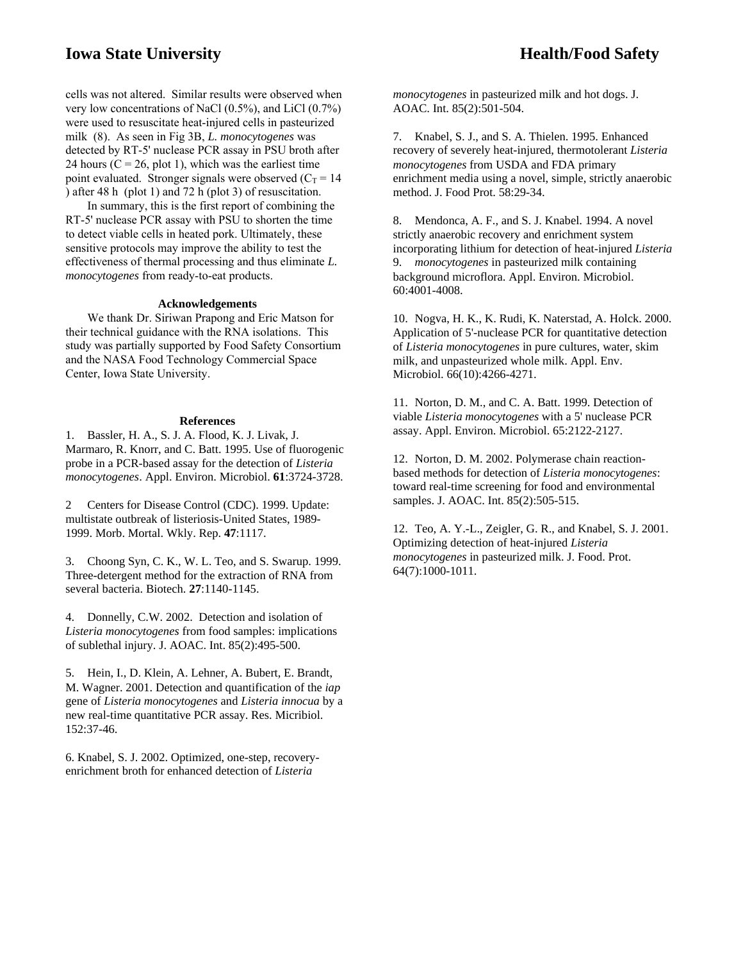## **Iowa State University <b>Iowa State University Health/Food Safety**

cells was not altered. Similar results were observed when very low concentrations of NaCl (0.5%), and LiCl (0.7%) were used to resuscitate heat-injured cells in pasteurized milk (8). As seen in Fig 3B, *L. monocytogenes* was detected by RT-5' nuclease PCR assay in PSU broth after 24 hours ( $C = 26$ , plot 1), which was the earliest time point evaluated. Stronger signals were observed  $(C_T = 14$ ) after 48 h (plot 1) and 72 h (plot 3) of resuscitation.

In summary, this is the first report of combining the RT-5' nuclease PCR assay with PSU to shorten the time to detect viable cells in heated pork. Ultimately, these sensitive protocols may improve the ability to test the effectiveness of thermal processing and thus eliminate *L. monocytogenes* from ready-to-eat products.

#### **Acknowledgements**

We thank Dr. Siriwan Prapong and Eric Matson for their technical guidance with the RNA isolations. This study was partially supported by Food Safety Consortium and the NASA Food Technology Commercial Space Center, Iowa State University.

#### **References**

1. Bassler, H. A., S. J. A. Flood, K. J. Livak, J. Marmaro, R. Knorr, and C. Batt. 1995. Use of fluorogenic probe in a PCR-based assay for the detection of *Listeria monocytogenes*. Appl. Environ. Microbiol. **61**:3724-3728.

2 Centers for Disease Control (CDC). 1999. Update: multistate outbreak of listeriosis-United States, 1989- 1999. Morb. Mortal. Wkly. Rep. **47**:1117.

3. Choong Syn, C. K., W. L. Teo, and S. Swarup. 1999. Three-detergent method for the extraction of RNA from several bacteria. Biotech. **27**:1140-1145.

4. Donnelly, C.W. 2002. Detection and isolation of *Listeria monocytogenes* from food samples: implications of sublethal injury. J. AOAC. Int. 85(2):495-500.

5. Hein, I., D. Klein, A. Lehner, A. Bubert, E. Brandt, M. Wagner. 2001. Detection and quantification of the *iap* gene of *Listeria monocytogenes* and *Listeria innocua* by a new real-time quantitative PCR assay. Res. Micribiol. 152:37-46.

6. Knabel, S. J. 2002. Optimized, one-step, recoveryenrichment broth for enhanced detection of *Listeria*

*monocytogenes* in pasteurized milk and hot dogs. J. AOAC. Int. 85(2):501-504.

7. Knabel, S. J., and S. A. Thielen. 1995. Enhanced recovery of severely heat-injured, thermotolerant *Listeria monocytogenes* from USDA and FDA primary enrichment media using a novel, simple, strictly anaerobic method. J. Food Prot. 58:29-34.

8. Mendonca, A. F., and S. J. Knabel. 1994. A novel strictly anaerobic recovery and enrichment system incorporating lithium for detection of heat-injured *Listeria* 9. *monocytogenes* in pasteurized milk containing background microflora. Appl. Environ. Microbiol. 60:4001-4008.

10. Nogva, H. K., K. Rudi, K. Naterstad, A. Holck. 2000. Application of 5'-nuclease PCR for quantitative detection of *Listeria monocytogenes* in pure cultures, water, skim milk, and unpasteurized whole milk. Appl. Env. Microbiol. 66(10):4266-4271.

11. Norton, D. M., and C. A. Batt. 1999. Detection of viable *Listeria monocytogenes* with a 5' nuclease PCR assay. Appl. Environ. Microbiol. 65:2122-2127.

12. Norton, D. M. 2002. Polymerase chain reactionbased methods for detection of *Listeria monocytogenes*: toward real-time screening for food and environmental samples. J. AOAC. Int. 85(2):505-515.

12. Teo, A. Y.-L., Zeigler, G. R., and Knabel, S. J. 2001. Optimizing detection of heat-injured *Listeria monocytogenes* in pasteurized milk. J. Food. Prot. 64(7):1000-1011.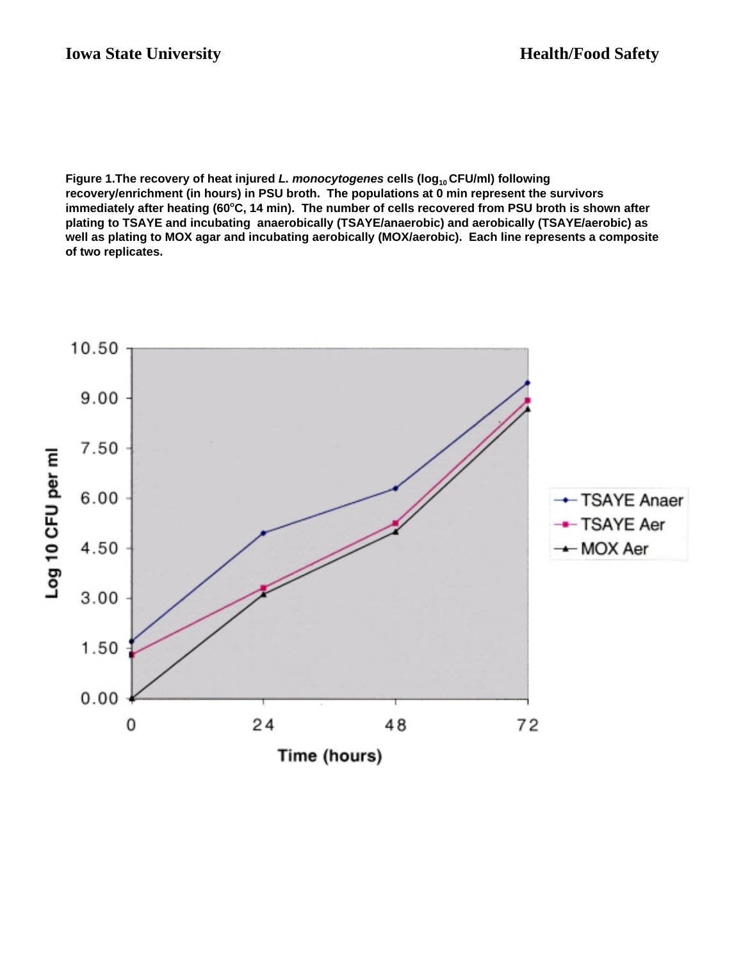Figure 1.The recovery of heat injured *L. monocytogenes* cells (log<sub>10</sub> CFU/ml) following **recovery/enrichment (in hours) in PSU broth. The populations at 0 min represent the survivors** immediately after heating (60°C, 14 min). The number of cells recovered from PSU broth is shown after **plating to TSAYE and incubating anaerobically (TSAYE/anaerobic) and aerobically (TSAYE/aerobic) as well as plating to MOX agar and incubating aerobically (MOX/aerobic). Each line represents a composite of two replicates.**

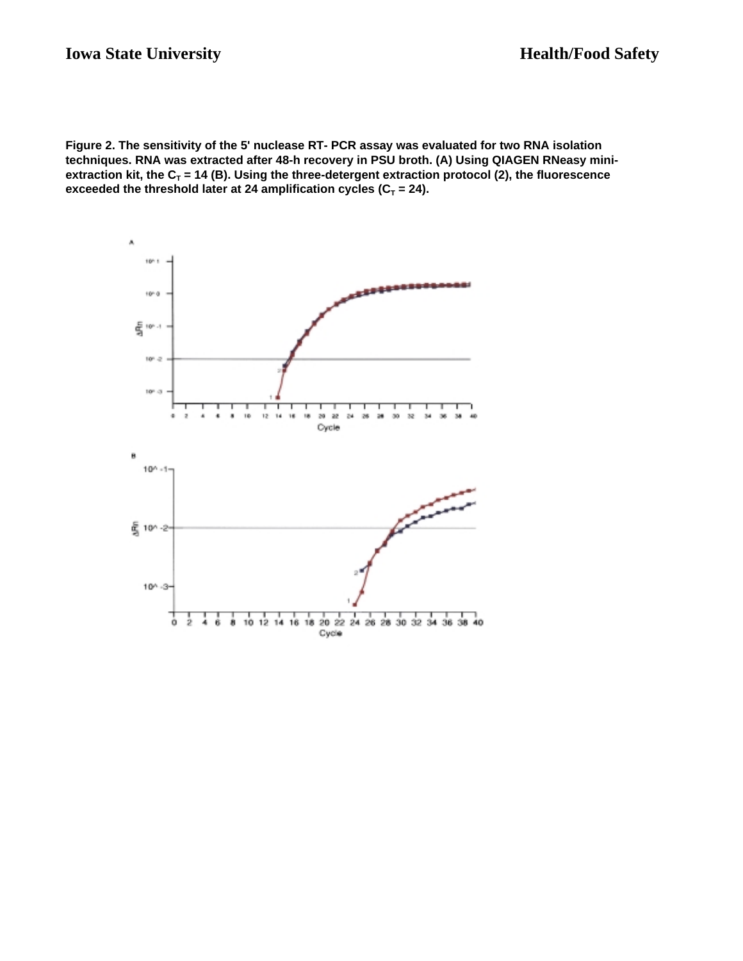**Figure 2. The sensitivity of the 5' nuclease RT- PCR assay was evaluated for two RNA isolation techniques. RNA was extracted after 48-h recovery in PSU broth. (A) Using QIAGEN RNeasy mini**extraction kit, the  $C_T$  = 14 (B). Using the three-detergent extraction protocol (2), the fluorescence exceeded the threshold later at 24 amplification cycles  $(C_T = 24)$ .